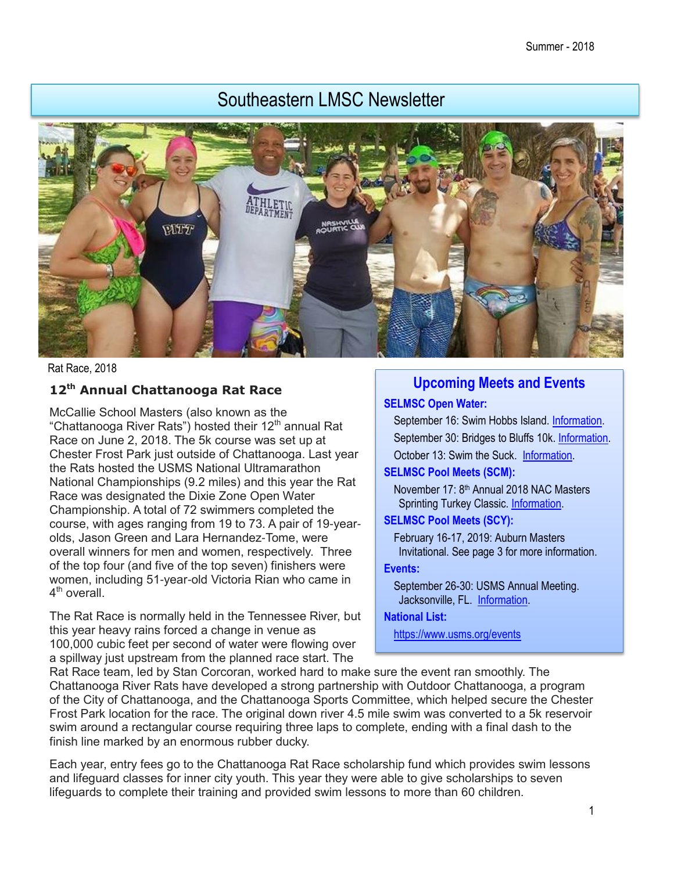## Southeastern LMSC Newsletter



#### Rat Race, 2018

## **12th Annual Chattanooga Rat Race**

McCallie School Masters (also known as the "Chattanooga River Rats") hosted their  $12<sup>th</sup>$  annual Rat Race on June 2, 2018. The 5k course was set up at Chester Frost Park just outside of Chattanooga. Last year the Rats hosted the USMS National Ultramarathon National Championships (9.2 miles) and this year the Rat Race was designated the Dixie Zone Open Water Championship. A total of 72 swimmers completed the course, with ages ranging from 19 to 73. A pair of 19-yearolds, Jason Green and Lara Hernandez-Tome, were overall winners for men and women, respectively. Three of the top four (and five of the top seven) finishers were women, including 51-year-old Victoria Rian who came in 4<sup>th</sup> overall.

The Rat Race is normally held in the Tennessee River, but this year heavy rains forced a change in venue as 100,000 cubic feet per second of water were flowing over a spillway just upstream from the planned race start. The

# **Upcoming Meets and Events**

#### **SELMSC Open Water:**

September 16: Swim Hobbs Island[. Information.](https://www.usms.org/events/events/swim-hobbs-island?ID=7311) September 30: Bridges to Bluffs 10k. [Information.](https://www.usms.org/events/events/bridges-to-bluffs-10k?ID=7389) October 13: Swim the Suck. [Information.](https://www.usms.org/events/events/swim-the-suck?ID=7238)

#### **SELMSC Pool Meets (SCM):**

November 17: 8th Annual 2018 NAC Masters Sprinting Turkey Classic[. Information.](https://www.usms.org/events/events/8th-annual-2018-nac-masters-sprinting-turkey-classic?ID=7462)

**SELMSC Pool Meets (SCY):**

February 16-17, 2019: Auburn Masters Invitational. See page 3 for more information.

#### **Events:**

September 26-30: USMS Annual Meeting. Jacksonville, FL. [Information.](https://www.usms.org/volunteer-central/2018-annual-meeting)

**National List:**

<https://www.usms.org/events>

Rat Race team, led by Stan Corcoran, worked hard to make sure the event ran smoothly. The Chattanooga River Rats have developed a strong partnership with Outdoor Chattanooga, a program of the City of Chattanooga, and the Chattanooga Sports Committee, which helped secure the Chester Frost Park location for the race. The original down river 4.5 mile swim was converted to a 5k reservoir swim around a rectangular course requiring three laps to complete, ending with a final dash to the finish line marked by an enormous rubber ducky.

Each year, entry fees go to the Chattanooga Rat Race scholarship fund which provides swim lessons and lifeguard classes for inner city youth. This year they were able to give scholarships to seven lifeguards to complete their training and provided swim lessons to more than 60 children.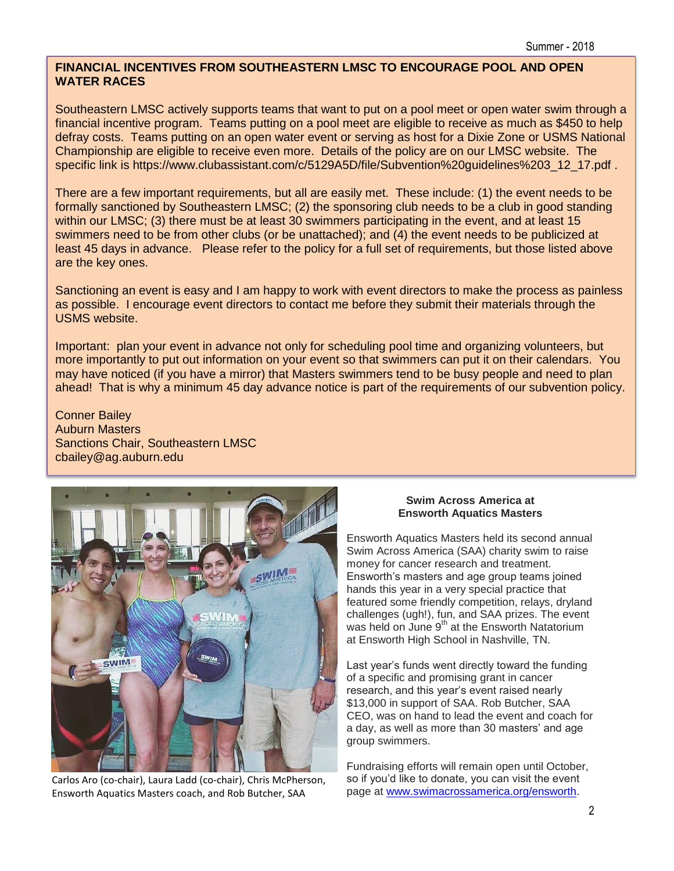#### **FINANCIAL INCENTIVES FROM SOUTHEASTERN LMSC TO ENCOURAGE POOL AND OPEN WATER RACES**

Southeastern LMSC actively supports teams that want to put on a pool meet or open water swim through a financial incentive program. Teams putting on a pool meet are eligible to receive as much as \$450 to help defray costs. Teams putting on an open water event or serving as host for a Dixie Zone or USMS National Championship are eligible to receive even more. Details of the policy are on our LMSC website. The specific link is https://www.clubassistant.com/c/5129A5D/file/Subvention%20quidelines%203\_12\_17.pdf .

There are a few important requirements, but all are easily met. These include: (1) the event needs to be formally sanctioned by Southeastern LMSC; (2) the sponsoring club needs to be a club in good standing within our LMSC; (3) there must be at least 30 swimmers participating in the event, and at least 15 swimmers need to be from other clubs (or be unattached); and (4) the event needs to be publicized at least 45 days in advance. Please refer to the policy for a full set of requirements, but those listed above are the key ones.

Sanctioning an event is easy and I am happy to work with event directors to make the process as painless as possible. I encourage event directors to contact me before they submit their materials through the USMS website.

Important: plan your event in advance not only for scheduling pool time and organizing volunteers, but more importantly to put out information on your event so that swimmers can put it on their calendars. You may have noticed (if you have a mirror) that Masters swimmers tend to be busy people and need to plan ahead! That is why a minimum 45 day advance notice is part of the requirements of our subvention policy.

Conner Bailey Auburn Masters Sanctions Chair, Southeastern LMSC cbailey@ag.auburn.edu



Carlos Aro (co-chair), Laura Ladd (co-chair), Chris McPherson, Ensworth Aquatics Masters coach, and Rob Butcher, SAA

#### **Swim Across America at Ensworth Aquatics Masters**

Ensworth Aquatics Masters held its second annual Swim Across America (SAA) charity swim to raise money for cancer research and treatment. Ensworth's masters and age group teams joined hands this year in a very special practice that featured some friendly competition, relays, dryland challenges (ugh!), fun, and SAA prizes. The event was held on June 9<sup>th</sup> at the Ensworth Natatorium at Ensworth High School in Nashville, TN.

Last year's funds went directly toward the funding of a specific and promising grant in cancer research, and this year's event raised nearly \$13,000 in support of SAA. Rob Butcher, SAA CEO, was on hand to lead the event and coach for a day, as well as more than 30 masters' and age group swimmers.

Fundraising efforts will remain open until October, so if you'd like to donate, you can visit the event page at [www.swimacrossamerica.org/ensworth.](http://www.swimacrossamerica.org/ensworth)